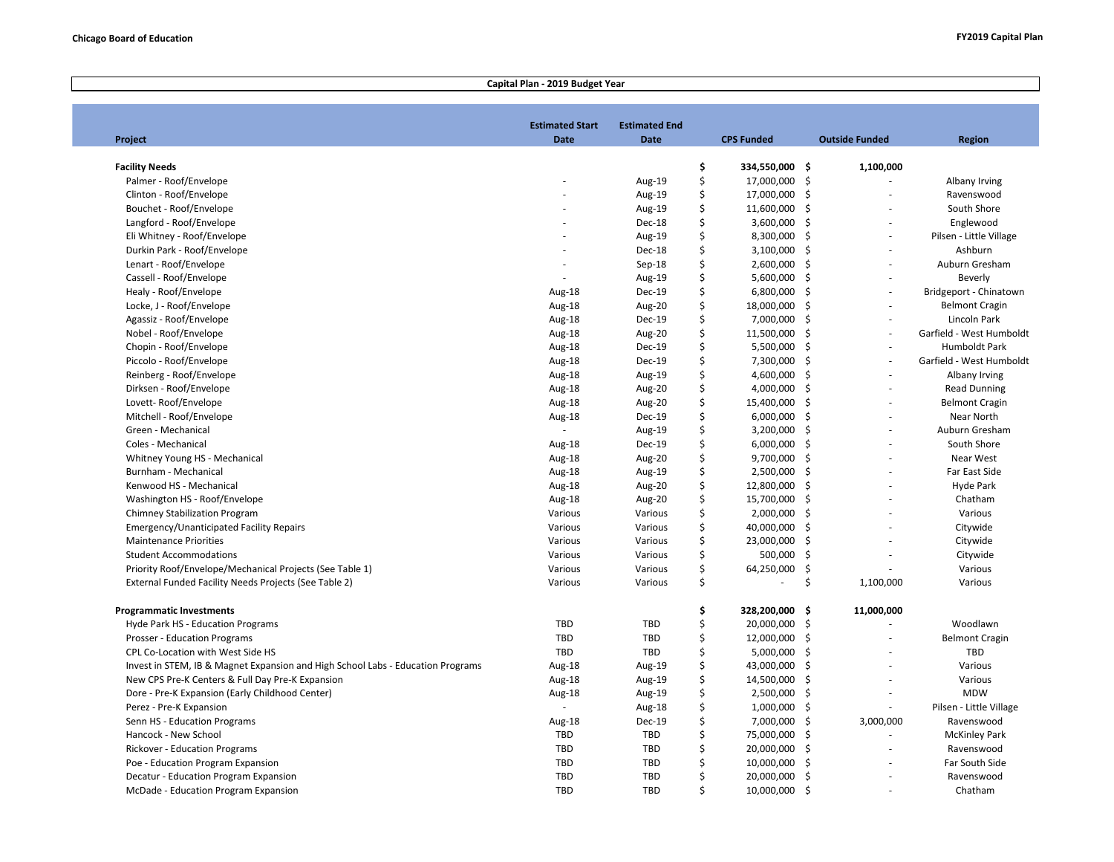## **Project Estimated Start Date Estimated End Date CPS Funded Outside Funded Facility Needs \$ 334,550,000 \$ 1,100,000** Palmer - Roof/Envelope 6 17,000,000 \$ - Aug-19 \$ 17,000,000 \$ Clinton - Roof/Envelope و Clinton - Roof/Envelope هو المستخدم المستخدم المستخدم المستخدم المستخدم المستخدم المستخدم المستخدم المستخدم المستخدم المستخدم المستخدم المستخدم المستخدم المستخدم المستخدم المستخدم المستخدم المستخ Bouchet - Roof/Envelope - المستخدم - مستخدم - المستخدم - المستخدم - المستخدم - المستخدم - المستخدم - المستخدم -Langford - Roof/Envelope - Dec-18 \$ 3,600,000 \$ - Eli Whitney - Roof/Envelope 6.300,000 \$ - Aug-19 \$ 8,300,000 \$ Durkin Park - Roof/Envelope - Dec-18 \$ 3,100,000 \$ Lenart - Roof/Envelope - Sep-18 \$ 2,600,000 \$ - Cassell - Roof/Envelope - Aug-19 \$ 5,600,000 \$ Healy - Roof/Envelope Aug-18 Dec-19 \$ 6,800,000 \$ - Locke, J - Roof/Envelope **Aug-18** Aug-20  $\lesssim$   $\frac{18,000,000 \text{ s}}{2}$  -  $\frac{18,000,000 \text{ s}}{2}$ Agassiz - Roof/Envelope 2012 - Aug-18 Dec-19 Aug-18 Dec-19 Dec-19 5 - 7,000,000 \$ Nobel - Roof/Envelope Aug-18 Aug-20 \$ 11,500,000 \$ - Chopin - Roof/Envelope Aug-18 Dec-19 \$ 5,500,000 \$ - Piccolo - Roof/Envelope 2012 00:000 \$ - Aug-18 Dec-19 Aug-18 Dec-19 Aug-18 Dec-19 Aug-18 Dec-19 Aug-18 Dec-19 S Reinberg - Roof/Envelope **Aug-19** Aug-19 Aug-19 Aug-19 \$ 4,600,000 \$ -Dirksen - Roof/Envelope Aug-18 Aug-20 \$ 4,000,000 \$ - Lovett- Roof/Envelope Aug-18 Aug-20 \$ 15,400,000 \$ - Mitchell - Roof/Envelope Aug-18 Dec-19 \$ 6,000,000 \$ - Green - Mechanical - Aug-19 \$ 3,200,000 \$ - Coles - Mechanical Aug-18 Dec-19 \$ 6,000,000 \$ - Whitney Young HS - Mechanical 2002 12:00 12:00 12:00 12:00 12:00 Aug-18 Aug-20 Aug-20 Aug-20 5 9,700,000 \$ -Burnham - Mechanical Aug-18 Aug-19 \$ 2,500,000 \$ - Kenwood HS - Mechanical 2000 10 12,800,000 5 - 12,800,000 5 - 12,800,000 5 - 12,800,000 5 - 12,800,000 5 - 12,800,000 5 - 12,800,000 5 - 12,800,000 5 - 12,800,000 5 - 12,800,000 5 - 12,800,000 5 - 12,800,000 5 - 12,800,000 Washington HS - Roof/Envelope **Aug-18** Aug-18 Aug-20 Aug-20 Aug-20 Aug-20 Aug-20 Aug-20 Aug-20 Aug-20 Aug-20 Aug-20 Aug-20 Aug-20 Aug-20 Aug-20 Aug-20 Aug-20 Aug-20 Aug-20 Aug-20 Aug-20 Aug-20 Aug-20 Aug-20 Aug-20 Aug-20 A Chimney Stabilization Program National China Research China Research China Various Various China Various Sand D Emergency/Unanticipated Facility Repairs and Marious Carious Various Various States (40,000,000 \$ 50,000) Amergency/Unanticipated Facility Repairs Maintenance Priorities Various Various \$ 23,000,000 \$ - Student Accommodations Various Various \$ 500,000 \$ - Priority Roof/Envelope/Mechanical Projects (See Table 1) and Marious Various Various various \$ 54,250,000 \$ External Funded Facility Needs Projects (See Table 2) Various Various \$ - \$ 1,100,000 Albany Irving Ravenswood South Shore Englewood Pilsen - Little Village Ashburn Auburn Gresham Beverly Bridgeport - Chinatown Belmont Cragin Lincoln Park Garfield - West Humboldt Humboldt Park Garfield - West Humboldt Albany Irving Read Dunning Belmont Cragin Near North Auburn Gresham South Shore Near West Far East Side Hyde Park Chatham Various Citywide Citywide Citywide Various Various **Programmatic Investments \$ 328,200,000 \$ 11,000,000** Hyde Park HS - Education Programs TBD 5 20,000,000 \$ 20,000,000 \$ Prosser - Education Programs and the contract of the contract of the contract of the TBD to the contract of the contract of the contract of the contract of the contract of the contract of the contract of the contract of th CPL Co-Location with West Side HS TED 5,000,000 \$ 5,000,000 \$ 5,000,000 \$ Invest in STEM, IB & Magnet Expansion and High School Labs - Education Programs Aug-18 Aug-19 \$ 43,000,000 \$ New CPS Pre-K Centers & Full Day Pre-K Expansion **Aug-19** Aug-18 Aug-19 Aug-19 \$ 14,500,000 \$ Dore - Pre-K Expansion (Early Childhood Center) **Aug-19** Aug-18 Aug-19 Aug-19 \$ 2,500,000 \$ -Perez - Pre-K Expansion - Aug-18 \$ 1,000,000 \$ - Senn HS - Education Programs and the state of the state of the state of the state of the state of the state of the state of the state of the state of the state of the state of the state of the state of the state of the sta Hancock - New School TBD TBD \$ 75,000,000 \$ - Rickover - Education Programs TBD 5 20,000,000 \$ Poe - Education Program Expansion TBD TBD \$ 10,000,000 \$ Decatur - Education Program Expansion TBD TBD 5 20,000,000 \$ McDade - Education Program Expansion TBD TBD 5 - 10,000,000 \$ Woodlawn Belmont Cragin TBD Various Various MDW Pilsen - Little Village Ravenswood McKinley Park Ravenswood Far South Side Ravenswood Chatham **Capital Plan - 2019 Budget Year Region**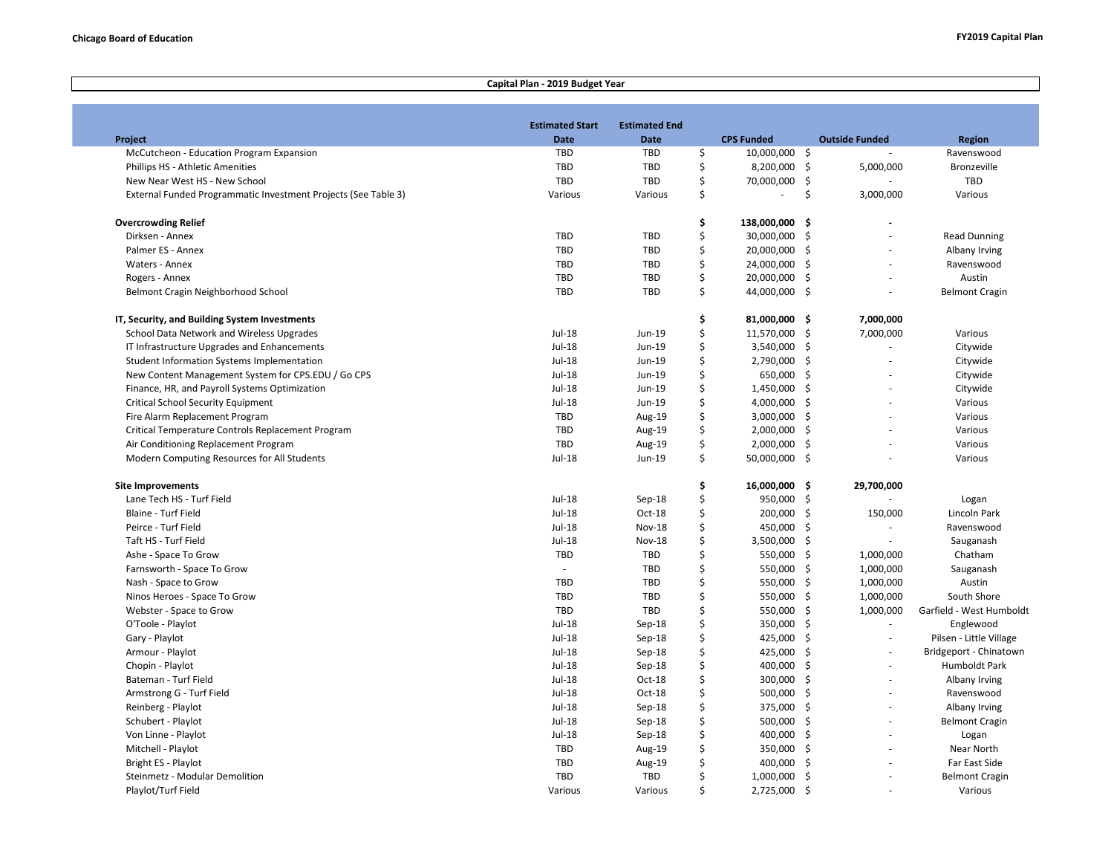Г

## **Capital Plan - 2019 Budget Year**

|                                                                | <b>Estimated Start</b> | <b>Estimated End</b> |          |                   |                       |                          |
|----------------------------------------------------------------|------------------------|----------------------|----------|-------------------|-----------------------|--------------------------|
| Project                                                        | <b>Date</b>            | <b>Date</b>          |          | <b>CPS Funded</b> | <b>Outside Funded</b> | <b>Region</b>            |
| McCutcheon - Education Program Expansion                       | TBD                    | <b>TBD</b>           | \$       | 10,000,000 \$     |                       | Ravenswood               |
| Phillips HS - Athletic Amenities                               | <b>TBD</b>             | <b>TBD</b>           | \$       | 8,200,000 \$      | 5,000,000             | <b>Bronzeville</b>       |
| New Near West HS - New School                                  | <b>TBD</b>             | <b>TBD</b>           | \$       | 70,000,000 \$     |                       | TBD                      |
| External Funded Programmatic Investment Projects (See Table 3) | Various                | Various              | \$       | ÷,                | \$<br>3,000,000       | Various                  |
| <b>Overcrowding Relief</b>                                     |                        |                      | \$       | 138,000,000       | \$                    |                          |
| Dirksen - Annex                                                | TBD                    | TBD                  | \$       | 30,000,000        | -\$<br>ä,             | <b>Read Dunning</b>      |
| Palmer ES - Annex                                              | TBD                    | <b>TBD</b>           | \$       | 20,000,000        | -\$                   | Albany Irving            |
| Waters - Annex                                                 | TBD                    | <b>TBD</b>           | \$       | 24,000,000        | -\$<br>÷,             | Ravenswood               |
| Rogers - Annex                                                 | TBD                    | <b>TBD</b>           | \$       | 20,000,000        | \$<br>÷               | Austin                   |
| Belmont Cragin Neighborhood School                             | TBD                    | <b>TBD</b>           | \$       | 44,000,000 \$     | ä,                    | <b>Belmont Cragin</b>    |
|                                                                |                        |                      |          |                   |                       |                          |
| IT, Security, and Building System Investments                  |                        |                      | \$<br>\$ | 81,000,000 \$     | 7,000,000             |                          |
| School Data Network and Wireless Upgrades                      | Jul-18                 | Jun-19               |          | 11,570,000        | \$<br>7,000,000       | Various                  |
| IT Infrastructure Upgrades and Enhancements                    | Jul-18                 | Jun-19               | \$       | 3,540,000         | -\$<br>ä,             | Citywide                 |
| <b>Student Information Systems Implementation</b>              | Jul-18                 | Jun-19               | \$       | 2,790,000         | -\$<br>ä,             | Citywide                 |
| New Content Management System for CPS.EDU / Go CPS             | Jul-18                 | Jun-19               | \$       | 650,000           | Ŝ.                    | Citywide                 |
| Finance, HR, and Payroll Systems Optimization                  | Jul-18                 | Jun-19               | \$       | 1,450,000         | \$                    | Citywide                 |
| <b>Critical School Security Equipment</b>                      | Jul-18                 | Jun-19               | \$       | 4,000,000         | Ŝ.                    | Various                  |
| Fire Alarm Replacement Program                                 | TBD                    | Aug-19               | \$       | 3,000,000         | Ŝ.                    | Various                  |
| Critical Temperature Controls Replacement Program              | TBD                    | Aug-19               | \$       | 2,000,000         | \$                    | Various                  |
| Air Conditioning Replacement Program                           | TBD                    | Aug-19               | \$       | 2,000,000         | -\$                   | Various                  |
| Modern Computing Resources for All Students                    | Jul-18                 | Jun-19               | \$       | 50,000,000 \$     |                       | Various                  |
| <b>Site Improvements</b>                                       |                        |                      | \$       | 16,000,000 \$     | 29,700,000            |                          |
| Lane Tech HS - Turf Field                                      | Jul-18                 | Sep-18               | \$       | 950,000           | \$                    | Logan                    |
| Blaine - Turf Field                                            | <b>Jul-18</b>          | Oct-18               | \$       | 200,000           | -\$<br>150,000        | Lincoln Park             |
| Peirce - Turf Field                                            | Jul-18                 | <b>Nov-18</b>        | \$       | 450,000           | -\$<br>$\mathbf{r}$   | Ravenswood               |
| Taft HS - Turf Field                                           | Jul-18                 | <b>Nov-18</b>        | \$       | 3,500,000         | -\$<br>÷,             | Sauganash                |
| Ashe - Space To Grow                                           | TBD                    | <b>TBD</b>           | \$       | 550,000           | \$<br>1,000,000       | Chatham                  |
| Farnsworth - Space To Grow                                     | $\sim$                 | <b>TBD</b>           | \$       | 550,000           | -\$<br>1,000,000      | Sauganash                |
| Nash - Space to Grow                                           | TBD                    | <b>TBD</b>           | \$       | 550,000           | $\zeta$<br>1,000,000  | Austin                   |
| Ninos Heroes - Space To Grow                                   | TBD                    | <b>TBD</b>           | \$       | 550,000           | -\$<br>1,000,000      | South Shore              |
| Webster - Space to Grow                                        | TBD                    | <b>TBD</b>           | \$       | 550,000           | \$<br>1,000,000       | Garfield - West Humboldt |
| O'Toole - Playlot                                              | Jul-18                 | Sep-18               | \$       | 350,000           | -\$<br>÷,             | Englewood                |
| Gary - Playlot                                                 | Jul-18                 | Sep-18               | \$       | 425,000           | -\$<br>$\sim$         | Pilsen - Little Village  |
| Armour - Playlot                                               | $Jul-18$               | Sep-18               | \$       | 425,000           | Ŝ.                    | Bridgeport - Chinatown   |
| Chopin - Playlot                                               | Jul-18                 | Sep-18               | \$       | 400,000           | \$                    | Humboldt Park            |
| Bateman - Turf Field                                           | <b>Jul-18</b>          | Oct-18               | \$       | 300,000 \$        |                       | Albany Irving            |
| Armstrong G - Turf Field                                       | $Jul-18$               | $Oct-18$             | \$       | 500,000           | Ŝ.<br>÷,              | Ravenswood               |
| Reinberg - Playlot                                             | Jul-18                 | Sep-18               | \$       | 375,000           | -\$                   | Albany Irving            |
| Schubert - Playlot                                             | $Jul-18$               | Sep-18               | \$       | 500,000           | Ŝ.                    | <b>Belmont Cragin</b>    |
| Von Linne - Playlot                                            | Jul-18                 | Sep-18               | \$       | 400,000 \$        |                       | Logan                    |
| Mitchell - Playlot                                             | <b>TBD</b>             | Aug-19               | \$       | 350,000           | -\$                   | Near North               |
| Bright ES - Playlot                                            | TBD                    | Aug-19               | \$       | 400,000           | - Ś                   | Far East Side            |
| Steinmetz - Modular Demolition                                 | TBD                    | <b>TBD</b>           | \$       | 1,000,000         | -\$<br>ä,             | <b>Belmont Cragin</b>    |
| Playlot/Turf Field                                             | Various                | Various              | Ś.       | 2,725,000 \$      |                       | Various                  |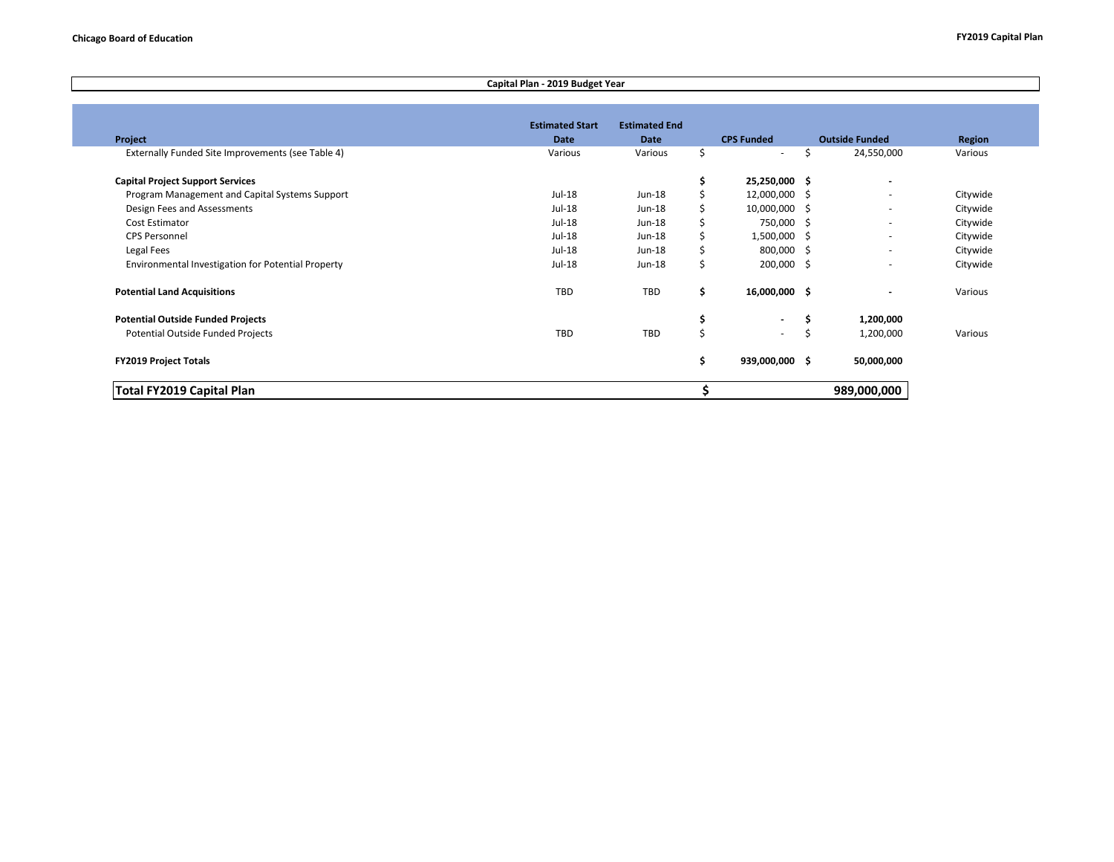## **Capital Plan - 2019 Budget Year**

|                                                    | <b>Estimated Start</b> | <b>Estimated End</b> |    |                   |                          |               |
|----------------------------------------------------|------------------------|----------------------|----|-------------------|--------------------------|---------------|
| Project                                            | Date                   | <b>Date</b>          |    | <b>CPS Funded</b> | <b>Outside Funded</b>    | <b>Region</b> |
| Externally Funded Site Improvements (see Table 4)  | Various                | Various              | \$ | $\sim$            | 24,550,000<br>Ŝ          | Various       |
| <b>Capital Project Support Services</b>            |                        |                      | \$ | 25,250,000 \$     | $\blacksquare$           |               |
| Program Management and Capital Systems Support     | Jul-18                 | Jun-18               |    | 12,000,000 \$     | $\overline{\phantom{a}}$ | Citywide      |
| Design Fees and Assessments                        | $Jul-18$               | $Jun-18$             | Ś  | 10,000,000 \$     | ٠                        | Citywide      |
| Cost Estimator                                     | Jul-18                 | $Jun-18$             | Ś  | 750,000 \$        | ٠                        | Citywide      |
| <b>CPS Personnel</b>                               | Jul-18                 | Jun-18               | \$ | $1,500,000$ \$    | $\blacksquare$           | Citywide      |
| Legal Fees                                         | Jul-18                 | Jun-18               | \$ | 800,000 \$        | $\blacksquare$           | Citywide      |
| Environmental Investigation for Potential Property | Jul-18                 | Jun-18               | \$ | 200,000 \$        | ٠                        | Citywide      |
| <b>Potential Land Acquisitions</b>                 | <b>TBD</b>             | TBD                  | \$ | 16,000,000 \$     | ٠                        | Various       |
| <b>Potential Outside Funded Projects</b>           |                        |                      | \$ | $\blacksquare$    | 1,200,000<br>s           |               |
| Potential Outside Funded Projects                  | TBD                    | TBD                  | Ś  | $\sim$            | 1,200,000                | Various       |
| <b>FY2019 Project Totals</b>                       |                        |                      | \$ | 939,000,000 \$    | 50,000,000               |               |
| Total FY2019 Capital Plan                          |                        |                      |    |                   | 989,000,000              |               |